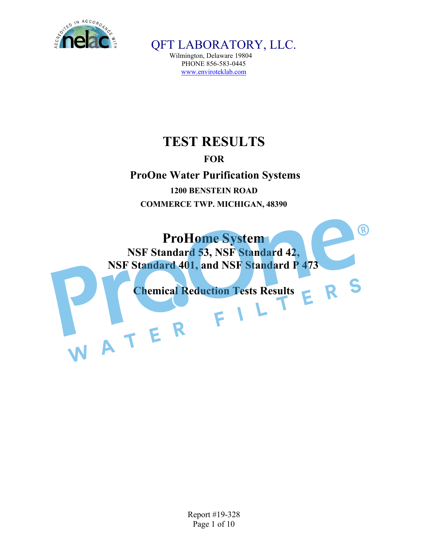

Wilmington, Delaware 19804 PHONE 856-583-0445 www.enviroteklab.com

# **TEST RESULTS**

## **FOR**

**ProOne Water Purification Systems 1200 BENSTEIN ROAD COMMERCE TWP. MICHIGAN, 48390**

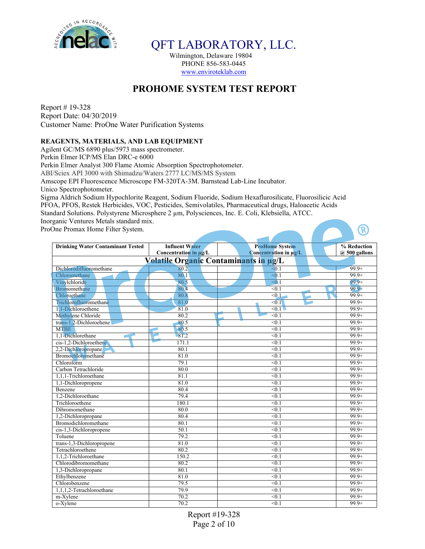

Wilmington, Delaware 19804 PHONE 856-583-0445 www.enviroteklab.com

## **PROHOME SYSTEM TEST REPORT**

Report # 19-328 Report Date: 04/30/2019 Customer Name: ProOne Water Purification Systems

### **REAGENTS, MATERIALS, AND LAB EQUIPMENT**

Agilent GC/MS 6890 plus/5973 mass spectrometer. Perkin Elmer ICP/MS Elan DRC-e 6000 Perkin Elmer Analyst 300 Flame Atomic Absorption Spectrophotometer. ABI/Sciex API 3000 with Shimadzu/Waters 2777 LC/MS/MS System Amscope EPI Fluorescence Microscope FM-320TA-3M. Barnstead Lab-Line Incubator. Unico Spectrophotometer. Sigma Aldrich Sodium Hypochlorite Reagent, Sodium Fluoride, Sodium Hexaflurosilicate, Fluorosilicic Acid PFOA, PFOS, Restek Herbicides, VOC, Pesticides, Semivolatiles, Pharmaceutical drugs, Haloacetic Acids

Standard Solutions. Polystyrene Microsphere 2 µm, Polysciences, Inc. E. Coli, Klebsiella, ATCC.

Inorganic Ventures Metals standard mix.

ProOne Promax Home Filter System.

| <b>Drinking Water Contaminant Tested</b> | <b>Influent Water</b>                 | <b>ProHome System</b> | % Reduction       |  |  |  |  |
|------------------------------------------|---------------------------------------|-----------------------|-------------------|--|--|--|--|
|                                          | Concentration in µg/L                 | Concentration in µg/L | $(a)$ 500 gallons |  |  |  |  |
|                                          | Volatile Organic Contaminants in ug/L |                       |                   |  |  |  |  |
| Dichlorodifluoromethane                  | 80.2                                  | $\leq 0.1$            | $99.9+$           |  |  |  |  |
| Chloromethane                            | 80.1                                  | $\leq 0.1$            | $99.9+$           |  |  |  |  |
| Vinylchloride                            | 80.5                                  | $\leq 0.1$            | $99.9+$           |  |  |  |  |
| Bromomethane                             | 80.4                                  | < 0.1                 | $99.9+$           |  |  |  |  |
| Chloroethane                             | 80.8                                  | < 0.1                 | $99.9+$           |  |  |  |  |
| Trichlorofluoromethane                   | 81.0                                  | < 0.1                 | $99.9+$           |  |  |  |  |
| 1.1-Dichloroethene                       | 81.0                                  | $\leq 0.1$            | $99.9+$           |  |  |  |  |
| Methylene Chloride                       | 80.2                                  | < 0.1                 | $99.9+$           |  |  |  |  |
| trans-1.2-Dichloroehene                  | 80.5                                  | $\leq 0.1$            | $99.9+$           |  |  |  |  |
| <b>MTBE</b>                              | 80.5                                  | < 0.1                 | $99.9+$           |  |  |  |  |
| 1.1-Dichlorethane                        | 81.2                                  | < 0.1                 | $99.9+$           |  |  |  |  |
| cis-1,2-Dichloroethene                   | 171.1                                 | < 0.1                 | $99.9+$           |  |  |  |  |
| 2,2-Dichloropropane                      | 80.1                                  | < 0.1                 | $99.9+$           |  |  |  |  |
| Bromochloromethane                       | 81.0                                  | < 0.1                 | $99.9+$           |  |  |  |  |
| Chloroform                               | 79.1                                  | < 0.1                 | $99.9+$           |  |  |  |  |
| Carbon Tetrachloride                     | 80.0                                  | $\leq 0.1$            | $99.9+$           |  |  |  |  |
| 1,1,1-Trichloroethane                    | 81.1                                  | < 0.1                 | $99.9+$           |  |  |  |  |
| 1,1-Dichloropropene                      | 81.0                                  | < 0.1                 | $99.9+$           |  |  |  |  |
| Benzene                                  | 80.4                                  | < 0.1                 | $99.9+$           |  |  |  |  |
| 1.2-Dichloroethane                       | 79.4                                  | $\leq 0.1$            | $99.9+$           |  |  |  |  |
| Trichloroethene                          | 180.1                                 | $\leq 0.1$            | $99.9+$           |  |  |  |  |
| Dibromomethane                           | 80.0                                  | < 0.1                 | $99.9+$           |  |  |  |  |
| 1,2-Dichloropropane                      | 80.4                                  | < 0.1                 | $99.9+$           |  |  |  |  |
| Bromodichloromethane                     | 80.1                                  | < 0.1                 | $99.9+$           |  |  |  |  |
| cis-1,3-Dichloropropene                  | 50.1                                  | < 0.1                 | $99.9+$           |  |  |  |  |
| Toluene                                  | 79.2                                  | < 0.1                 | $99.9+$           |  |  |  |  |
| trans-1,3-Dichloropropene                | 81.0                                  | < 0.1                 | $99.9+$           |  |  |  |  |
| Tetrachloroethene                        | 80.2                                  | < 0.1                 | $99.9+$           |  |  |  |  |
| 1.1.2-Trichloroethane                    | 150.2                                 | $\leq 0.1$            | $99.9+$           |  |  |  |  |
| Chlorodibromomethane                     | 80.2                                  | < 0.1                 | $99.9+$           |  |  |  |  |
| 1,3-Dichloropropane                      | 80.1                                  | < 0.1                 | $99.9+$           |  |  |  |  |
| Ethylbenzene                             | 81.0                                  | $\leq 0.1$            | $99.9+$           |  |  |  |  |
| Chlorobenzene                            | 79.5                                  | $\leq 0.1$            | $99.9+$           |  |  |  |  |
| 1.1.1.2-Tetrachloroethane                | 79.9                                  | < 0.1                 | $99.9+$           |  |  |  |  |
| m-Xylene                                 | 70.2                                  | $\leq 0.1$            | $99.9+$           |  |  |  |  |
| o-Xylene                                 | 70.2                                  | < 0.1                 | $99.9+$           |  |  |  |  |

R)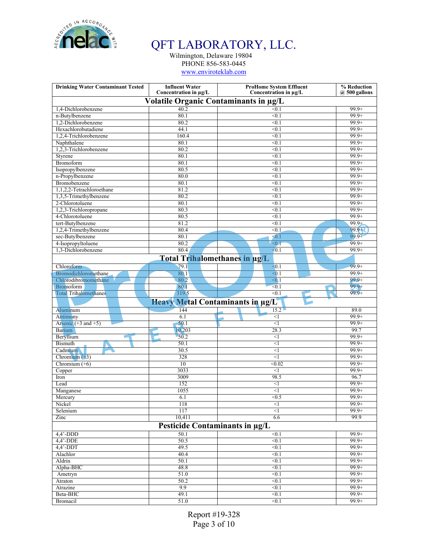

Wilmington, Delaware 19804 PHONE 856-583-0445 www.enviroteklab.com

| <b>Drinking Water Contaminant Tested</b>   | <b>Influent Water</b><br>Concentration in µg/L | <b>ProHome System Effluent</b><br>Concentration in µg/L | % Reduction<br>$@$ 500 gallons |
|--------------------------------------------|------------------------------------------------|---------------------------------------------------------|--------------------------------|
|                                            |                                                |                                                         |                                |
|                                            | Volatile Organic Contaminants in µg/L          |                                                         |                                |
| 1,4-Dichlorobenzene                        | 40.2                                           | < 0.1                                                   | $99.9+$                        |
| n-Butylbenzene                             | 80.1                                           | < 0.1                                                   | $99.9+$                        |
| 1,2-Dichlorobenzene<br>Hexachlorobutadiene | 80.2                                           | $\leq 0.1$                                              | $99.9+$                        |
|                                            | 44.1                                           | $\leq 0.1$                                              | $99.9+$                        |
| 1,2,4-Trichlorobenzene                     | 160.4                                          | < 0.1                                                   | $99.9+$                        |
| Naphthalene                                | 80.1<br>80.2                                   | < 0.1<br>< 0.1                                          | $99.9+$<br>$99.9+$             |
| 1,2,3-Trichlorobenzene                     | 80.1                                           | < 0.1                                                   | $99.9+$                        |
| Styrene<br>Bromoform                       | 80.1                                           | $\leq 0.1$                                              | $99.9+$                        |
| Isopropylbenzene                           | 80.5                                           |                                                         | $99.9+$                        |
|                                            | 80.0                                           | < 0.1<br>$\leq 0.1$                                     | $99.9+$                        |
| n-Propylbenzene<br>Bromobenzene            | 80.1                                           | < 0.1                                                   | $99.9+$                        |
| 1,1,2,2-Tetrachloroethane                  | 81.2                                           | < 0.1                                                   | $99.9+$                        |
|                                            |                                                |                                                         |                                |
| 1,3,5-Trimethylbenzene                     | 80.2                                           | $\leq 0.1$                                              | $99.9+$                        |
| 2-Chlorotoluene                            | 80.1<br>80.3                                   | < 0.1                                                   | $99.9+$<br>$99.9+$             |
| 1,2,3-Trichloropropane                     |                                                | < 0.1                                                   | $99.9+$                        |
| 4-Chlorotoluene                            | 80.5                                           | $\leq 0.1$                                              |                                |
| tert-Butylbenzene                          | 81.2                                           | $\leq 0.1$                                              | $99.9+$                        |
| 1,2,4-Trimethylbenzene                     | 80.4                                           | $\leq 0.1$                                              | 99.9 <sup>-</sup> R            |
| sec-Butylbenzene                           | 80.1                                           | $\leq 0.1$                                              | $99.9 +$                       |
| 4-Isopropyltoluene<br>1.3-Dichlorobenzene  | 80.2                                           | $\leq 0.1$                                              | $99.9+$                        |
|                                            | 80.4                                           | < 0.1                                                   | $99.9+$                        |
|                                            | <b>Total Trihalomethanes in ug/L</b>           |                                                         |                                |
| Chloroform                                 | 79.1                                           | < 0.1                                                   | $99.9+$                        |
| Bromodichloromethane                       | 80.1                                           | < 0.1                                                   | $99.9+$                        |
| Chlorodibromomethane                       | 80.2                                           | $\leq 0.1$                                              | $99.9+$                        |
| Bromoform                                  | 80.1                                           | < 0.1                                                   | $99.9 +$                       |
| <b>Total Trihalomethanes</b>               | 319.5                                          | < 0.1                                                   | $99.9+$                        |
|                                            | Heavy Metal Contaminants in ug/L               |                                                         |                                |
| Aluminum                                   | 144                                            | $15.2 -$                                                | 89.0                           |
| Antimony                                   | 6.1                                            | $\leq$ 1                                                | $99.9+$                        |
| Arsenic $(+3$ and $+5)$                    | 50.1                                           | $\leq$                                                  | $99.9+$                        |
| <b>Barium</b>                              | 10,203                                         | 28.3                                                    | 99.7                           |
| Beryllium                                  | $-50.2$                                        | <1                                                      | $99.9+$                        |
| <b>Bismuth</b>                             | 50.1                                           | $<$ l                                                   | $99.9+$                        |
| Cadmium.                                   | 30.5                                           | ◁                                                       | $99.9+$                        |
| Chromium $(+3)$                            | 328                                            | $<$ l                                                   | $99.9+$                        |
| Chromium $(+6)$                            | 10                                             | $\sqrt{0.02}$                                           | $99.9+$                        |
| Copper                                     |                                                | $<$ 1                                                   | $99.9+$                        |
|                                            | 3033                                           |                                                         |                                |
| Iron                                       | 3009                                           | 98.5                                                    | 96.7                           |
| Lead                                       | 152                                            | $\leq$                                                  | $99.9+$                        |
|                                            |                                                |                                                         | $99.9+$                        |
| Manganese                                  | 1055                                           | $\leq$                                                  | $99.9+$                        |
| Mercury                                    | 6.1                                            | < 0.5<br>$\leq$                                         | $99.9+$                        |
| Nickel                                     | 118                                            |                                                         |                                |
| Selenium                                   | 117                                            | <1                                                      | $99.9+$<br>99.9                |
| Zinc                                       | 10,411                                         | 6.6                                                     |                                |
|                                            | Pesticide Contaminants in µg/L                 |                                                         |                                |
| $4,4'$ -DDD                                | 50.1                                           | $\leq 0.1$                                              | $99.9+$                        |
| $4,4'$ -DDE                                | 50.5                                           | < 0.1                                                   | $99.9+$                        |
| $4,4$ '-DDT                                | 49.5                                           | < 0.1                                                   | $99.9+$                        |
| Alachlor                                   | 40.4                                           | < 0.1                                                   | $99.9+$                        |
| Aldrin                                     | 50.1                                           | < 0.1                                                   | $99.9+$                        |
| Alpha-BHC                                  | 48.8                                           | < 0.1                                                   | $99.9+$                        |
| Ametryn                                    | 51.0                                           | $\leq 0.1$                                              | $99.9+$                        |
| Atraton                                    | 50.2                                           | $\leq 0.1$                                              | $99.9+$                        |
| Atrazine                                   | 9.9                                            | < 0.1                                                   | $99.9+$                        |
| Beta-BHC<br>Bromacil                       | 49.1<br>51.0                                   | < 0.1<br>< 0.1                                          | $99.9+$<br>$99.9+$             |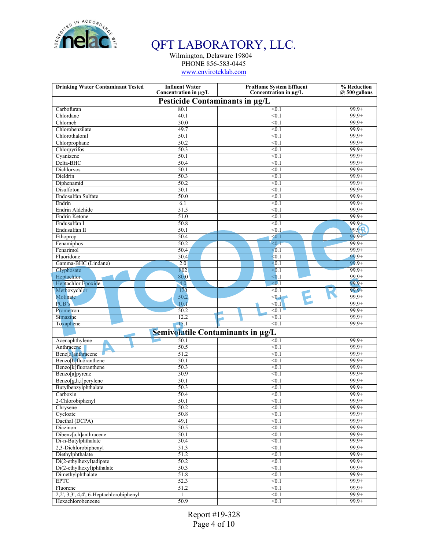

Wilmington, Delaware 19804 PHONE 856-583-0445

www.enviroteklab.com

| <b>Drinking Water Contaminant Tested</b> | <b>Influent Water</b><br>Concentration in µg/L | <b>ProHome System Effluent</b><br>Concentration in µg/L | % Reduction<br>$(a)$ 500 gallons |
|------------------------------------------|------------------------------------------------|---------------------------------------------------------|----------------------------------|
|                                          | Pesticide Contaminants in µg/L                 |                                                         |                                  |
| Carbofuran                               | 80.1                                           | < 0.1                                                   | $99.9+$                          |
| Chlordane                                | 40.1                                           | $\leq 0.1$                                              | $99.9+$                          |
| Chlorneb                                 | 50.0                                           | $\leq 0.1$                                              | $99.9+$                          |
| Chlorobenzilate                          | 49.7                                           | < 0.1                                                   | $99.9+$                          |
| Chlorothalonil                           | 50.1                                           | < 0.1                                                   | $99.9 +$                         |
| Chlorprophane                            | 50.2                                           | < 0.1                                                   | $99.9+$                          |
| Chlorpyrifos                             | 50.3                                           | $\leq 0.1$                                              | $99.9+$                          |
| Cyanizene                                | 50.1                                           | < 0.1                                                   | $99.9+$                          |
| Delta-BHC                                | 50.4                                           | $\leq 0.1$                                              | $99.9+$                          |
| <b>Dichlorvos</b>                        | 50.1                                           | < 0.1                                                   | $99.9+$                          |
| Dieldrin                                 | 50.3                                           | $\leq 0.1$                                              | $99.9+$                          |
| Diphenamid                               | 50.2                                           | $\leq 0.1$                                              | $99.9+$                          |
| Disulfoton                               | 50.1                                           | < 0.1                                                   | $99.9+$                          |
| Endosulfan Sulfate                       | 50.0                                           | $\leq 0.1$                                              | $99.9+$                          |
| Endrin                                   | 6.1                                            | < 0.1                                                   | $99.9+$                          |
| Endrin Aldehide                          | 51.5                                           | < 0.1                                                   | $99.9+$                          |
| Endrin Ketone                            | 51.0                                           | $\leq 0.1$                                              | $99.9+$                          |
| Endusulfan I                             | 50.8                                           | < 0.1                                                   | $99.9+$                          |
| Endusulfan II                            | 50.1                                           | $\leq 0.1$                                              | 99.9 <sup>-</sup> R              |
| Ethoprop                                 | 50.4                                           | $\leq 0.1$                                              | $99.9+$                          |
| Fenamiphos                               | 50.2                                           | $\leq 0.1$                                              | $99.9+$                          |
| Fenarimol                                | 50.4                                           | < 0.1                                                   | $99.9+$                          |
| Fluoridone                               | 50.4                                           | < 0.1                                                   | $99.9+$                          |
| Gamma-BHC (Lindane)                      | 2.0                                            | < 0.1                                                   | $99.9+$                          |
| Glyphosate                               | 802                                            | < 0.1                                                   | $99.9+$                          |
| Heptachlor                               | 80.0                                           | $\leq 0.1$                                              | $99.9+$                          |
| Heptachlor Epoxide                       | $\overline{4.0}$                               | $\leq 0.1$                                              | $99.9+$                          |
| Methoxychlor                             | 120                                            | < 0.1                                                   | $99.9+$                          |
| Molinate                                 | 50.2                                           | < 0.1                                                   | $99.9+$                          |
| PCB's                                    | 10.1                                           | $\leq 0.1$                                              | $99.9+$                          |
| Prometron                                | 50.2                                           | < 0.1                                                   | $99.9+$                          |
| Simazine                                 | 12.2                                           | $\leq 0.1$                                              | $99.9+$                          |
| Toxaphene                                | $\overline{15.1}$                              | $\leq 0.1$                                              | $99.9+$                          |
|                                          | Semivolatile Contaminants in µg/L              |                                                         |                                  |
| Acenaphthylene                           | 50.1                                           | < 0.1                                                   | $99.9+$                          |
| Anthracene                               | 50.5                                           | < 0.1                                                   | $99.9+$                          |
| Benz <sup>[a]</sup> anthracene           | 51.2                                           | $\leq 0.1$                                              | $99.9+$                          |
| Benzo <sup>[b]</sup> fluoranthene        | 50.1                                           | < 0.1                                                   | $99.9+$                          |
| Benzo[k]fluoranthene                     | 50.3                                           | $\leq 0.1$                                              | $99.9+$                          |
| Benzo[a]pyrene                           | 50.9                                           | < 0.1                                                   | $99.9+$                          |
| Benzo[g,h,i]perylene                     | 50.1                                           | < 0.1                                                   | $99.9+$                          |
| Butylbenzylphthalate                     | 50.3                                           | < 0.1                                                   | $99.9+$                          |
| Carboxin                                 | 50.4                                           | < 0.1                                                   | $99.9+$                          |
| 2-Chlorobiphenyl                         | 50.1                                           | $\leq 0.1$                                              | $99.9+$                          |
| Chrysene                                 | 50.2                                           | < 0.1                                                   | $99.9+$                          |
| Cycloate                                 | 50.8                                           | < 0.1                                                   | $99.9+$                          |
| Dacthal (DCPA)                           | 49.1                                           | < 0.1                                                   | $99.9+$                          |
| Diazinon                                 | 50.5                                           | < 0.1                                                   | $99.9+$                          |
| Dibenz[a,h]anthracene                    | 50.1                                           | < 0.1                                                   | $99.9+$                          |
| Di-n-Butylphthalate                      | 50.4                                           | < 0.1                                                   | $99.9+$                          |
| 2,3-Dichlorobiphenyl                     | 51.3                                           | < 0.1                                                   | $99.9+$                          |
| Diethylphthalate                         | 51.2                                           | < 0.1                                                   | $99.9+$                          |
| Di(2-ethylhexyl)adipate                  | 50.2                                           | < 0.1                                                   | $99.9+$                          |
| Di(2-ethylhexyl)phthalate                | 50.3                                           | < 0.1                                                   | $99.9+$                          |
| Dimethylphthalate                        | 51.8                                           | < 0.1                                                   | $99.9+$                          |
| <b>EPTC</b>                              | 52.3                                           | < 0.1                                                   | $99.9+$                          |
| Fluorene                                 | 51.2                                           | < 0.1                                                   | $99.9+$                          |
| 2,2', 3,3', 4,4', 6-Heptachlorobiphenyl  | $\mathbf{1}$                                   | < 0.1                                                   | $99.9+$                          |
|                                          |                                                |                                                         |                                  |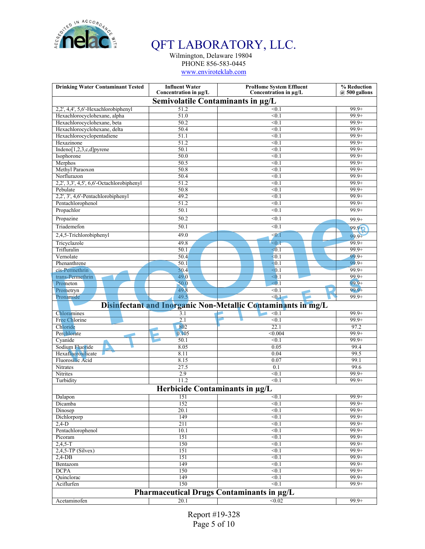

Wilmington, Delaware 19804 PHONE 856-583-0445

www.enviroteklab.com

| <b>Drinking Water Contaminant Tested</b>  | <b>Influent Water</b><br>Concentration in µg/L | <b>ProHome System Effluent</b><br>Concentration in µg/L      | % Reduction<br>$@$ 500 gallons |
|-------------------------------------------|------------------------------------------------|--------------------------------------------------------------|--------------------------------|
|                                           | Semivolatile Contaminants in µg/L              |                                                              |                                |
| 2,2', 4,4', 5,6'-Hexachlorobiphenyl       | 51.2                                           | < 0.1                                                        | $99.9+$                        |
| Hexachlorocyclohexane, alpha              | 51.0                                           | $\leq 0.1$                                                   | $99.9+$                        |
| Hexachlorocyclohexane, beta               | 50.2                                           | $\leq 0.1$                                                   | $99.9+$                        |
| Hexachlorocyclohexane, delta              | 50.4                                           | < 0.1                                                        | $99.9+$                        |
| Hexachlorocyclopentadiene                 | 51.1                                           | < 0.1                                                        | $99.9 +$                       |
| Hexazinone                                | 51.2                                           | < 0.1                                                        | $99.9+$                        |
| Indeno[1,2,3,c,d]pyrene                   | 50.1                                           | $\leq 0.1$                                                   | $99.9+$                        |
| Isophorone                                | 50.0                                           | < 0.1                                                        | $99.9+$                        |
| Merphos                                   | 50.5                                           | $\leq 0.1$                                                   | $99.9+$                        |
| Methyl Paraoxon                           | 50.8                                           | < 0.1                                                        | $99.9+$                        |
| Norflurazon                               | 50.4                                           | $\leq 0.1$                                                   | $99.9+$                        |
| 2,2', 3,3', 4,5', 6,6'-Octachlorobiphenyl | 51.2                                           | $\leq 0.1$                                                   | $99.9+$                        |
| Pebulate                                  | 50.8                                           | < 0.1                                                        | $99.9+$                        |
| 2,2', 3', 4,6'-Pentachlorobiphenyl        | 49.2                                           | $\leq 0.1$                                                   | $99.9+$                        |
| Pentachlorophenol                         | 51.2                                           | < 0.1                                                        | $99.9+$                        |
| Propachlor                                | 50.1                                           | $\leq 0.1$                                                   | $99.9+$                        |
|                                           |                                                |                                                              |                                |
| Propazine                                 | 50.2                                           | < 0.1                                                        | $99.9+$                        |
| Triademefon                               | 50.1                                           | < 0.1                                                        | $99.9 +$                       |
| 2,4,5-Trichlorobiphenyl                   | 49.0                                           | $0.1$                                                        | $99.9+$                        |
| Tricyclazole                              | 49.8                                           | $\leq 0.1$                                                   | $99.9+$                        |
| Trifluralin                               | 50.1                                           | $\leq 0.1$                                                   | $99.9+$                        |
| Vernolate                                 | 50.4                                           | < 0.1                                                        | $99.9+$                        |
| Phenanthrene                              | 50.1                                           | $\leq 0.1$                                                   | $99.9+$                        |
| cis-Permethrin                            | 50.4                                           | < 0.1                                                        | $99.9+$                        |
| trans-Permethrin                          | 49.0                                           | $\leq 0.1$                                                   | $99.9+$                        |
| Prometon                                  | 50.0                                           | $\leq 0.1$                                                   | $99.9+$                        |
| Prometryn                                 | 49.8                                           | < 0.1                                                        | $99.9+$                        |
| Pronamide                                 | 49.5                                           | < 0.1                                                        | $99.9+$                        |
|                                           |                                                | Disinfectant and Inorganic Non-Metallic Contaminants in mg/L |                                |
|                                           |                                                |                                                              |                                |
| Chloramines                               | 3.1                                            | < 0.1                                                        | $99.9+$                        |
| Free Chlorine                             | 2.1                                            | $\leq 0.1$                                                   | $99.9+$                        |
| Chloride                                  | 802                                            | 22.1                                                         | 97.2                           |
| Perchlorate                               | 0.105                                          | < 0.004                                                      | $99.9+$                        |
| Cyanide                                   | 50.1                                           | $\leq 0.1$                                                   | $99.9+$                        |
| Sodium Fluoride                           | 8.05                                           | 0.05                                                         | 99.4                           |
| Hexafluorosilicate                        | 8.11                                           | 0.04                                                         | 99.5                           |
| Fluorosilic Acid                          | 8.15                                           | 0.07                                                         | 99.1                           |
| Nitrates                                  | 27.5                                           | $\overline{0.1}$                                             | 99.6                           |
| Nitrites                                  | 2.9                                            | < 0.1                                                        | $99.9+$                        |
| Turbidity                                 | 11.2                                           | < 0.1                                                        | $99.9+$                        |
|                                           | Herbicide Contaminants in µg/L                 |                                                              |                                |
| Dalapon                                   | 151                                            | < 0.1                                                        | $99.9+$                        |
| Dicamba                                   | 152                                            | < 0.1                                                        | $99.9+$                        |
| Dinosep                                   | 20.1                                           | < 0.1                                                        | $99.9+$                        |
| Dichlorporp                               | 149                                            | $\leq 0.1$                                                   | $99.9+$                        |
| $2,4-D$                                   | 211                                            | $\leq 0.1$                                                   | $99.9+$                        |
| Pentachlorophenol                         | 10.1                                           | < 0.1                                                        | $99.9+$                        |
| Picoram                                   | 151                                            | < 0.1                                                        | $99.9+$                        |
| $2,4,5-T$                                 | 150                                            | < 0.1                                                        | $99.9+$                        |
| $2,4,5$ -TP (Silvex)                      | 151                                            | $\leq 0.1$                                                   | $99.9+$                        |
| $2,4-DB$                                  | 151                                            | < 0.1                                                        | $99.9+$                        |
| Bentazom                                  | 149                                            | < 0.1                                                        | $99.9+$                        |
| <b>DCPA</b>                               | 150                                            | < 0.1                                                        | $99.9+$                        |
| Quinclorac                                | 149                                            | < 0.1                                                        | $99.9+$                        |
| Aciflurfen                                | 150                                            | < 0.1                                                        | $99.9+$                        |
|                                           |                                                |                                                              |                                |
|                                           |                                                | Pharmaceutical Drugs Contaminants in µg/L                    |                                |
| Acetaminofen                              | 20.1                                           | < 0.02                                                       | $99.9+$                        |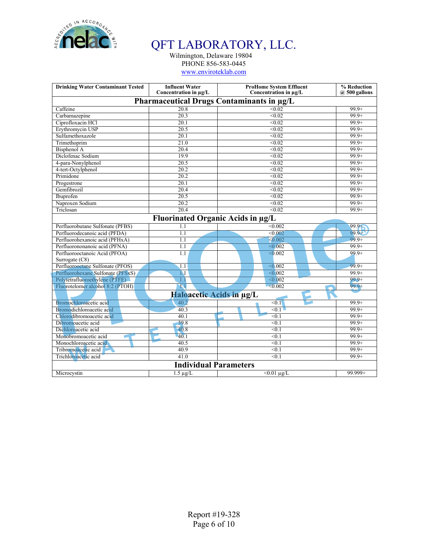

Wilmington, Delaware 19804 PHONE 856-583-0445

www.enviroteklab.com

| <b>Drinking Water Contaminant Tested</b> | <b>Influent Water</b><br>Concentration in µg/L | <b>ProHome System Effluent</b><br>Concentration in µg/L | % Reduction<br>@ 500 gallons |
|------------------------------------------|------------------------------------------------|---------------------------------------------------------|------------------------------|
|                                          | Pharmaceutical Drugs Contaminants in µg/L      |                                                         |                              |
|                                          |                                                |                                                         |                              |
| Caffeine                                 | $\overline{20.8}$                              | < 0.02                                                  | $99.9+$                      |
| Carbamazepine                            | 20.3                                           | < 0.02                                                  | $99.9+$                      |
| Ciprofloxacin HCl                        | 20.1                                           | < 0.02                                                  | $99.9+$                      |
| Erythromycin USP                         | 20.5                                           | < 0.02                                                  | $99.9+$                      |
| Sulfamethoxazole                         | 20.1                                           | < 0.02                                                  | $99.9+$                      |
| Trimethoprim                             | 21.0                                           | < 0.02                                                  | $99.9+$                      |
| Bisphenol A                              | 20.4                                           | < 0.02                                                  | $99.9+$                      |
| Diclofenac Sodium                        | 19.9                                           | < 0.02                                                  | $99.9+$                      |
| 4-para-Nonylphenol                       | 20.5                                           | < 0.02                                                  | $99.9+$                      |
| 4-tert-Octylphenol                       | $\overline{20.2}$                              | $\overline{0.02}$                                       | $99.9+$                      |
| Primidone                                | 20.2                                           | < 0.02                                                  | $99.9+$                      |
| Progestrone                              | 20.1                                           | < 0.02                                                  | $99.9+$                      |
| Gemfibrozil                              | 20.4                                           | < 0.02                                                  | $99.9+$                      |
| Ibuprofen                                | 20.5                                           | < 0.02                                                  | $99.9+$                      |
| Naproxen Sodium                          | $\overline{20.2}$                              | < 0.02                                                  | $99.9+$                      |
| Triclosan                                | $\overline{20.4}$                              | $\sqrt{0.02}$                                           | $99.9+$                      |
|                                          | <b>Fluorinated Organic Acids in µg/L</b>       |                                                         |                              |
| Perfluorobutane Sulfonate (PFBS)         | 1.1                                            | < 0.002                                                 | $99.9 +$                     |
| Perfluorodecanoic acid (PFDA)            | 1.1                                            | < 0.002                                                 | $99.9 +$                     |
| Perfluorohexanoic acid (PFHxA)           | 1.1                                            | $\leq 0.002$                                            | $99.9+$                      |
| Perfluorononanoic acid (PFNA)            | 1.1                                            | $\sqrt{0.002}$                                          | $99.9+$                      |
| Perfluorooctanoic Acid (PFOA)            | 1.1                                            | $\sqrt{0.002}$                                          | $99.9+$                      |
| Surrogate $(C8)$                         |                                                |                                                         |                              |
| Perfluorooctane Sulfonate (PFOS)         | 1.1                                            | < 0.002                                                 | $99.9+$                      |
| Perfluorohexane Sulfonate (PFSxS)        | 1.1                                            | $\sqrt{0.002}$                                          | $99.9+$                      |
| Polytetrafluoroethylene (PTFE)           | 1.1                                            | $\overline{0.002}$                                      | $99.9+$                      |
| Fluorotelomer alcohol 8:2 (PTOH)         | $\overline{\mathbf{N}}$                        | $-0.002$                                                | $99.9 +$                     |
|                                          | Haloacetic Acids in µg/L                       |                                                         |                              |
| Bromochloroacetic acid                   | 40.2                                           | < 0.1                                                   | $99.9+$                      |
| Bromodichloroacetic acid                 | 40.3                                           | < 0.1                                                   | $99.9+$                      |
| Chlorodibromoacetic acid                 | 40.1                                           | < 0.1                                                   | $99.9+$                      |
| Dibromoacetic acid                       | 39.8                                           | < 0.1                                                   | $99.9+$                      |
| Dichloroacetic acid                      | 40.8                                           | $\leq 0.1$                                              | $99.9+$                      |
| Monobromoacetic acid                     | 40.1                                           | $\leq 0.1$                                              | $99.9+$                      |
| Monochloroacetic acid                    | 40.5                                           | $\leq 0.1$                                              | $99.9+$                      |
| Tribromoacetic acid                      | 40.9                                           | $\leq 0.1$                                              | $99.9+$                      |
| Trichloroacetic acid                     | 41.0                                           | < 0.1                                                   | $99.9+$                      |
|                                          | <b>Individual Parameters</b>                   |                                                         |                              |
| Microcystin                              | $1.5 \mu$ g/L                                  | $<0.01 \mu$ g/L                                         | $99.999 +$                   |
|                                          |                                                |                                                         |                              |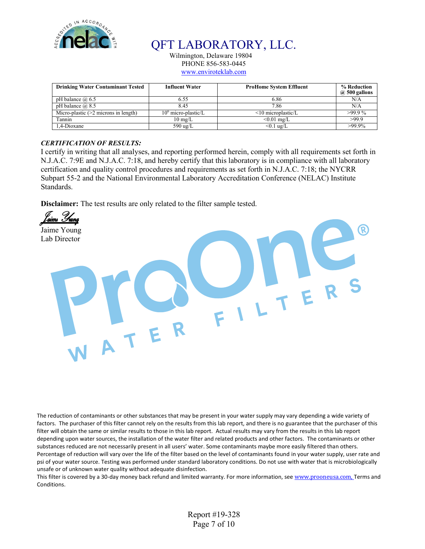

Wilmington, Delaware 19804 PHONE 856-583-0445

www.enviroteklab.com

| <b>Drinking Water Contaminant Tested</b> | <b>Influent Water</b> | <b>ProHome System Effluent</b> | % Reduction<br>$(a)$ 500 gallons |
|------------------------------------------|-----------------------|--------------------------------|----------------------------------|
| pH balance $\omega$ 6.5                  | 6.55                  | 6.86                           | N/A                              |
| pH balance $\omega$ 8.5                  | 8.45                  | 7.86                           | N/A                              |
| Micro-plastic $(>2$ microns in length)   | $106$ micro-plastic/L | $\leq$ 10 microplastic/L       | $>99.9\%$                        |
| Tannin                                   | $10 \text{ mg/L}$     | $< 0.01$ mg/L                  | >99.9                            |
| 1.4-Dioxane                              | 590 ug/L              | $< 0.1$ ug/L                   | $>99.9\%$                        |

### *CERTIFICATION OF RESULTS:*

I certify in writing that all analyses, and reporting performed herein, comply with all requirements set forth in N.J.A.C. 7:9E and N.J.A.C. 7:18, and hereby certify that this laboratory is in compliance with all laboratory certification and quality control procedures and requirements as set forth in N.J.A.C. 7:18; the NYCRR Subpart 55-2 and the National Environmental Laboratory Accreditation Conference (NELAC) Institute Standards.

**Disclaimer:** The test results are only related to the filter sample tested.



The reduction of contaminants or other substances that may be present in your water supply may vary depending a wide variety of factors. The purchaser of this filter cannot rely on the results from this lab report, and there is no guarantee that the purchaser of this filter will obtain the same or similar results to those in this lab report. Actual results may vary from the results in this lab report depending upon water sources, the installation of the water filter and related products and other factors. The contaminants or other substances reduced are not necessarily present in all users' water. Some contaminants maybe more easily filtered than others. Percentage of reduction will vary over the life of the filter based on the level of contaminants found in your water supply, user rate and psi of your water source. Testing was performed under standard laboratory conditions. Do not use with water that is microbiologically unsafe or of unknown water quality without adequate disinfection.

This filter is covered by a 30-day money back refund and limited warranty. For more information, see www.prooneusa.com. Terms and Conditions.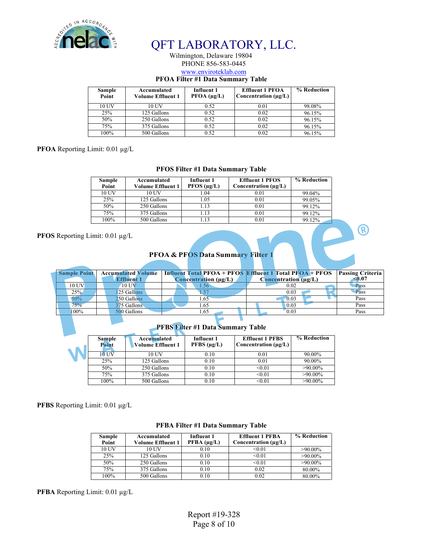

#### Wilmington, Delaware 19804 PHONE 856-583-0445 www.enviroteklab.com

### **PFOA Filter #1 Data Summary Table**

| <b>Sample</b><br>Point | Accumulated<br><b>Volume Effluent 1</b> | Influent 1<br>$PFOA (\mu g/L)$ | <b>Effluent 1 PFOA</b><br>Concentration $(\mu \varrho/L)$ | % Reduction |
|------------------------|-----------------------------------------|--------------------------------|-----------------------------------------------------------|-------------|
| 10 UV                  | 10 UV                                   | 0.52                           | 0.01                                                      | 98.08%      |
| 25%                    | 125 Gallons                             | 0.52                           | 0.02                                                      | 96.15%      |
| 50%                    | 250 Gallons                             | 0.52                           | 0.02                                                      | 96.15%      |
| 75%                    | 375 Gallons                             | 0.52                           | 0.02                                                      | 96.15%      |
| 100%                   | 500 Gallons                             | 0.52                           | 0.02                                                      | 96.15%      |

#### **PFOA** Reporting Limit: 0.01 µg/L

#### **PFOS Filter #1 Data Summary Table**

| <b>Sample</b><br>Point | Accumulated<br>Volume Effluent 1 | Influent 1<br>PFOS (µg/L) | <b>Effluent 1 PFOS</b><br>Concentration $(\mu g/L)$ | % Reduction |
|------------------------|----------------------------------|---------------------------|-----------------------------------------------------|-------------|
| 10 UV                  | 10 UV                            | 1.04                      | 0.01                                                | 99.04%      |
| 25%                    | 125 Gallons                      | 1.05                      | 0.01                                                | 99.05%      |
| 50%                    | 250 Gallons                      | 1.13                      | 0.01                                                | 99.12%      |
| 75%                    | 375 Gallons                      | 1.13                      | 0.01                                                | 99.12%      |
| 100%                   | 500 Gallons                      | 1.13                      | 0.01                                                | 99.12%      |

#### **PFOS** Reporting Limit: 0.01 µg/L

### **PFOA & PFOS Data Summary Filter 1**

| <b>Sample Point</b> | <b>Accumulated Volume</b> |               |                               |   | <b>Influent Total PFOA + PFOS Effluent 1 Total PFOA + PFOS</b> | <b>Passing Criteria</b> |
|---------------------|---------------------------|---------------|-------------------------------|---|----------------------------------------------------------------|-------------------------|
|                     | <b>Effluent 1</b>         |               | Concentration (µg/L)          |   | $C$ oncentration ( $\mu$ g/L)                                  | <0.07                   |
| 10 UV               | 10 UV                     |               | .56                           |   | 0.02                                                           | Pass                    |
| 25%                 | 25 Gallons                |               |                               |   | 0.03                                                           | Pass                    |
| 50%                 | 250 Gallons               |               | l.65                          |   | $-0.03$                                                        | Pass                    |
| 75%                 | 375 Gallons               |               | l.65                          |   | 0.03                                                           | Pass                    |
| $100\%$             | 500 Gallons               |               | 1.65                          |   | 0.03                                                           | Pass                    |
|                     |                           |               |                               |   |                                                                |                         |
|                     |                           | <b>BERGEL</b> | $\mathbf{u}$ and $\mathbf{v}$ | . |                                                                |                         |

| <b>PFBS Filter #1 Data Summary Table</b> |                                                |                                  |                                                     |             |  |  |  |  |
|------------------------------------------|------------------------------------------------|----------------------------------|-----------------------------------------------------|-------------|--|--|--|--|
| <b>Sample</b><br>Point                   | <b>Accumulated</b><br><b>Volume Effluent 1</b> | <b>Influent 1</b><br>PFBS (µq/L) | <b>Effluent 1 PFBS</b><br>Concentration $(\mu g/L)$ | % Reduction |  |  |  |  |
| $10$ UV                                  | 10 UV                                          | 0.10                             | 0.01                                                | 90.00%      |  |  |  |  |
| 25%                                      | 125 Gallons                                    | 0.10                             | 0.01                                                | 90.00%      |  |  |  |  |
| 50%                                      | 250 Gallons                                    | 0.10                             | < 0.01                                              | $>90.00\%$  |  |  |  |  |
| 75%                                      | 375 Gallons                                    | 0.10                             | < 0.01                                              | $>90.00\%$  |  |  |  |  |
| 100%                                     | 500 Gallons                                    | 0.10                             | < 0.01                                              | $>90.00\%$  |  |  |  |  |

**PFBS** Reporting Limit: 0.01 µg/L

| <b>PFBA Filter #1 Data Summary Table</b> |  |
|------------------------------------------|--|
|------------------------------------------|--|

| Sample<br>Point | Accumulated<br><b>Volume Effluent 1</b> | <b>Influent 1</b><br>$PFBA (\mu g/L)$ | <b>Effluent 1 PFBA</b><br>Concentration $(\mu g/L)$ | % Reduction |
|-----------------|-----------------------------------------|---------------------------------------|-----------------------------------------------------|-------------|
| 10 UV           | 10 UV                                   | 0.10                                  | < 0.01                                              | $>90.00\%$  |
| 25%             | 125 Gallons                             | 0.10                                  | < 0.01                                              | $>90.00\%$  |
| 50%             | 250 Gallons                             | 0.10                                  | < 0.01                                              | $>90.00\%$  |
| 75%             | 375 Gallons                             | 0.10                                  | 0.02                                                | 80.00%      |
| 100%            | 500 Gallons                             | 0.10                                  | 0.02                                                | 80.00%      |

**PFBA** Reporting Limit: 0.01 µg/L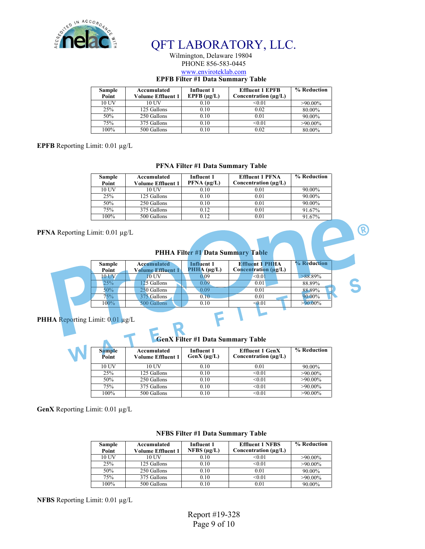

#### Wilmington, Delaware 19804 PHONE 856-583-0445 www.enviroteklab.com

#### **EPFB Filter #1 Data Summary Table**

| Sample<br>Point | Accumulated<br><b>Volume Effluent 1</b> | <b>Effluent 1 EPFB</b><br>Influent 1<br>EPFB $(\mu g/L)$<br>Concentration $(\mu g/L)$ |        | % Reduction |
|-----------------|-----------------------------------------|---------------------------------------------------------------------------------------|--------|-------------|
| 10 UV           | 10 UV                                   | 0.10                                                                                  | < 0.01 | $>90.00\%$  |
| 25%             | 125 Gallons                             | 0.10                                                                                  | 0.02   | 80.00%      |
| 50%             | 250 Gallons                             | 0.10                                                                                  | 0.01   | 90.00%      |
| 75%             | 375 Gallons                             | 0.10                                                                                  | < 0.01 | $>90.00\%$  |
| 100%            | 500 Gallons                             | 0.10                                                                                  | 0.02   | 80.00%      |

#### **EPFB** Reporting Limit: 0.01 µg/L

#### **PFNA Filter #1 Data Summary Table**

| Sample<br>Point | Accumulated<br><b>Volume Effluent 1</b> | <b>Effluent 1 PFNA</b><br><b>Influent 1</b><br>$PFNA$ ( $\mu$ g/L)<br>Concentration $(\mu g/L)$ |      | % Reduction |
|-----------------|-----------------------------------------|-------------------------------------------------------------------------------------------------|------|-------------|
| 10 UV           | 10 UV                                   | 0.10                                                                                            | 0.01 | 90.00%      |
| 25%             | 125 Gallons                             | 0.10                                                                                            | 0.01 | 90.00%      |
| 50%             | 250 Gallons                             | 0.10                                                                                            | 0.01 | 90.00%      |
| 75%             | 375 Gallons                             | 0.12                                                                                            | 0.01 | 91.67%      |
| $100\%$         | 500 Gallons                             | 0.12                                                                                            | 0.01 | 91.67%      |

#### **PFNA** Reporting Limit: 0.01 µg/L

**PHHA Filter #1 Data Summary Table**

®

| Sample<br>Point | <b>Accumulated</b><br>Volume Effluent : | Influent 1<br>$PHHA (\mu g/L)$ | <b>Effluent 1 PHHA</b><br>Concentration $(\mu g/L)$ | % Reduction |  |
|-----------------|-----------------------------------------|--------------------------------|-----------------------------------------------------|-------------|--|
| 10 UV           | $10$ UV                                 | 0.09                           | $0.01$                                              | $>88.89\%$  |  |
| 25%             | 25 Gallons                              | 0.09                           | 0.01                                                | 88.89%      |  |
| $50\%$          | 250 Gallons                             | 0.09                           | 0.01                                                | 88.89%      |  |
| 75%             | 375 Gallons                             | 0.10                           | 0.01                                                | 90.00%      |  |
| $100\%$         | 500 Gallons                             | 0.10                           | $\leq 0.01$                                         | $-90.00\%$  |  |

#### PHHA Reporting Limit:  $0.01 \mu g/L$

 $\top$ 

A

**GenX Filter #1 Data Summary Table**

| <b>Sample</b><br>Accumulated<br>Point<br>Volume Effluent 1 |             | Influent 1<br>$GenX (\mu g/L)$ | <b>Effluent 1 GenX</b><br>Concentration $(\mu g/L)$ | % Reduction |
|------------------------------------------------------------|-------------|--------------------------------|-----------------------------------------------------|-------------|
| 10 UV                                                      | 10 UV       | 0.10                           | 0.01                                                | 90.00%      |
| 25%                                                        | 125 Gallons | 0.10                           | < 0.01                                              | $>90.00\%$  |
| 50%                                                        | 250 Gallons | 0.10                           | < 0.01                                              | $>90.00\%$  |
| 75%                                                        | 375 Gallons | 0.10                           | < 0.01                                              | $>90.00\%$  |
| 100%                                                       | 500 Gallons | 0.10                           | < 0.01                                              | $>90.00\%$  |

**GenX** Reporting Limit: 0.01 µg/L

| Sample<br>Point | Accumulated<br><b>Volume Effluent 1</b> | <b>Influent 1</b><br>NFBS $(\mu g/L)$ | <b>Effluent 1 NFBS</b><br>Concentration $(\mu g/L)$ | % Reduction |
|-----------------|-----------------------------------------|---------------------------------------|-----------------------------------------------------|-------------|
| 10 UV           | 10 UV                                   | 0.10                                  | < 0.01                                              | $>90.00\%$  |
| 25%             | 125 Gallons                             | 0.10                                  | < 0.01                                              | $>90.00\%$  |
| 50%             | 250 Gallons                             | 0.10                                  | 0.01                                                | 90.00%      |
| 75%             | 375 Gallons                             | 0.10                                  | < 0.01                                              | $>90.00\%$  |
| $100\%$         | 500 Gallons                             | 0.10                                  | 0.01                                                | 90.00%      |

#### **NFBS Filter #1 Data Summary Table**

**NFBS** Reporting Limit: 0.01 µg/L